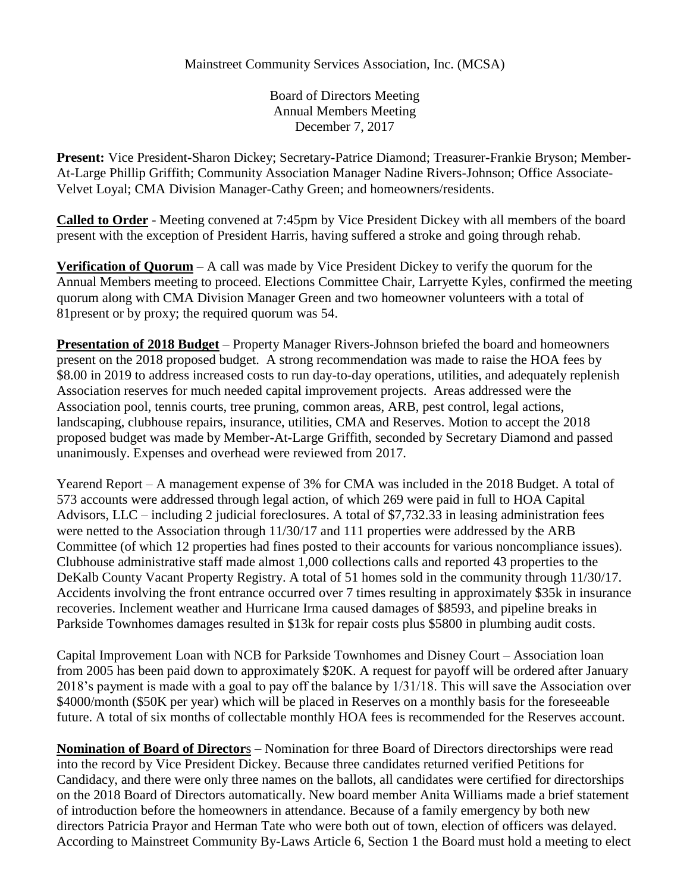## Mainstreet Community Services Association, Inc. (MCSA)

Board of Directors Meeting Annual Members Meeting December 7, 2017

**Present:** Vice President-Sharon Dickey; Secretary-Patrice Diamond; Treasurer-Frankie Bryson; Member-At-Large Phillip Griffith; Community Association Manager Nadine Rivers-Johnson; Office Associate-Velvet Loyal; CMA Division Manager-Cathy Green; and homeowners/residents.

**Called to Order** - Meeting convened at 7:45pm by Vice President Dickey with all members of the board present with the exception of President Harris, having suffered a stroke and going through rehab.

**Verification of Quorum** – A call was made by Vice President Dickey to verify the quorum for the Annual Members meeting to proceed. Elections Committee Chair, Larryette Kyles, confirmed the meeting quorum along with CMA Division Manager Green and two homeowner volunteers with a total of 81present or by proxy; the required quorum was 54.

**Presentation of 2018 Budget** – Property Manager Rivers-Johnson briefed the board and homeowners present on the 2018 proposed budget. A strong recommendation was made to raise the HOA fees by \$8.00 in 2019 to address increased costs to run day-to-day operations, utilities, and adequately replenish Association reserves for much needed capital improvement projects. Areas addressed were the Association pool, tennis courts, tree pruning, common areas, ARB, pest control, legal actions, landscaping, clubhouse repairs, insurance, utilities, CMA and Reserves. Motion to accept the 2018 proposed budget was made by Member-At-Large Griffith, seconded by Secretary Diamond and passed unanimously. Expenses and overhead were reviewed from 2017.

Yearend Report – A management expense of 3% for CMA was included in the 2018 Budget. A total of 573 accounts were addressed through legal action, of which 269 were paid in full to HOA Capital Advisors, LLC – including 2 judicial foreclosures. A total of \$7,732.33 in leasing administration fees were netted to the Association through 11/30/17 and 111 properties were addressed by the ARB Committee (of which 12 properties had fines posted to their accounts for various noncompliance issues). Clubhouse administrative staff made almost 1,000 collections calls and reported 43 properties to the DeKalb County Vacant Property Registry. A total of 51 homes sold in the community through 11/30/17. Accidents involving the front entrance occurred over 7 times resulting in approximately \$35k in insurance recoveries. Inclement weather and Hurricane Irma caused damages of \$8593, and pipeline breaks in Parkside Townhomes damages resulted in \$13k for repair costs plus \$5800 in plumbing audit costs.

Capital Improvement Loan with NCB for Parkside Townhomes and Disney Court – Association loan from 2005 has been paid down to approximately \$20K. A request for payoff will be ordered after January 2018's payment is made with a goal to pay off the balance by 1/31/18. This will save the Association over \$4000/month (\$50K per year) which will be placed in Reserves on a monthly basis for the foreseeable future. A total of six months of collectable monthly HOA fees is recommended for the Reserves account.

**Nomination of Board of Director**s – Nomination for three Board of Directors directorships were read into the record by Vice President Dickey. Because three candidates returned verified Petitions for Candidacy, and there were only three names on the ballots, all candidates were certified for directorships on the 2018 Board of Directors automatically. New board member Anita Williams made a brief statement of introduction before the homeowners in attendance. Because of a family emergency by both new directors Patricia Prayor and Herman Tate who were both out of town, election of officers was delayed. According to Mainstreet Community By-Laws Article 6, Section 1 the Board must hold a meeting to elect